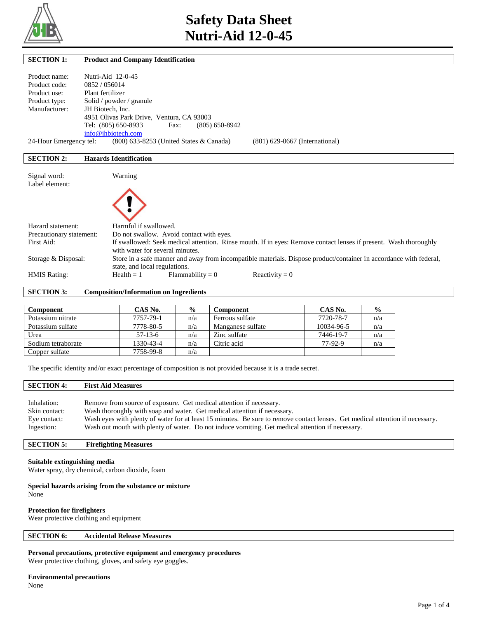

| <b>SECTION 1:</b>                                                                                                              | <b>Product and Company Identification</b>                                                                                                           |
|--------------------------------------------------------------------------------------------------------------------------------|-----------------------------------------------------------------------------------------------------------------------------------------------------|
|                                                                                                                                |                                                                                                                                                     |
| Product name:                                                                                                                  | Nutri-Aid 12-0-45                                                                                                                                   |
| Product code:                                                                                                                  | 0852/056014                                                                                                                                         |
| Product use:                                                                                                                   | Plant fertilizer                                                                                                                                    |
| Product type:                                                                                                                  | Solid / powder / granule                                                                                                                            |
| Manufacturer:                                                                                                                  | JH Biotech, Inc.                                                                                                                                    |
|                                                                                                                                | 4951 Olivas Park Drive, Ventura, CA 93003                                                                                                           |
|                                                                                                                                | Tel: (805) 650-8933<br>$(805)$ 650-8942<br>Fax:                                                                                                     |
|                                                                                                                                | info@jhbiotech.com                                                                                                                                  |
| 24-Hour Emergency tel:                                                                                                         | (800) 633-8253 (United States & Canada)<br>$(801)$ 629-0667 (International)                                                                         |
|                                                                                                                                |                                                                                                                                                     |
| <b>SECTION 2:</b>                                                                                                              | <b>Hazards Identification</b>                                                                                                                       |
|                                                                                                                                |                                                                                                                                                     |
| Signal word:                                                                                                                   | Warning                                                                                                                                             |
| Label element:                                                                                                                 |                                                                                                                                                     |
|                                                                                                                                |                                                                                                                                                     |
| Hazard statement:                                                                                                              | Harmful if swallowed.                                                                                                                               |
| Precautionary statement:                                                                                                       | Do not swallow. Avoid contact with eyes.                                                                                                            |
| First Aid:<br>If swallowed: Seek medical attention. Rinse mouth. If in eyes: Remove contact lenses if present. Wash thoroughly |                                                                                                                                                     |
|                                                                                                                                | with water for several minutes.                                                                                                                     |
| Storage & Disposal:                                                                                                            | Store in a safe manner and away from incompatible materials. Dispose product/container in accordance with federal,<br>state, and local regulations. |

HMIS Rating: Health = 1 Flammability = 0 Reactivity = 0

**SECTION 3: Composition/Information on Ingredients** 

| Component          | CAS No.   | $\frac{0}{0}$ | Component         | CAS No.    | $\frac{0}{0}$ |
|--------------------|-----------|---------------|-------------------|------------|---------------|
| Potassium nitrate  | 7757-79-1 | n/a           | Ferrous sulfate   | 7720-78-7  | n/a           |
| Potassium sulfate  | 7778-80-5 | n/a           | Manganese sulfate | 10034-96-5 | n/a           |
| Urea               | $57-13-6$ | n/a           | Zinc sulfate      | 7446-19-7  | n/a           |
| Sodium tetraborate | 1330-43-4 | n/a           | Citric acid       | 77-92-9    | n/a           |
| Copper sulfate     | 7758-99-8 | n/a           |                   |            |               |

The specific identity and/or exact percentage of composition is not provided because it is a trade secret.

## **SECTION 4: First Aid Measures**

| Inhalation:   | Remove from source of exposure. Get medical attention if necessary.                                                           |
|---------------|-------------------------------------------------------------------------------------------------------------------------------|
| Skin contact: | Wash thoroughly with soap and water. Get medical attention if necessary.                                                      |
| Eye contact:  | Wash eves with plenty of water for at least 15 minutes. Be sure to remove contact lenses. Get medical attention if necessary. |
| Ingestion:    | Wash out mouth with plenty of water. Do not induce vomiting. Get medical attention if necessary.                              |

## **SECTION 5: Firefighting Measures**

## **Suitable extinguishing media**

Water spray, dry chemical, carbon dioxide, foam

**Special hazards arising from the substance or mixture** None

### **Protection for firefighters**

Wear protective clothing and equipment

## **SECTION 6: Accidental Release Measures**

**Personal precautions, protective equipment and emergency procedures**

Wear protective clothing, gloves, and safety eye goggles.

### **Environmental precautions**

None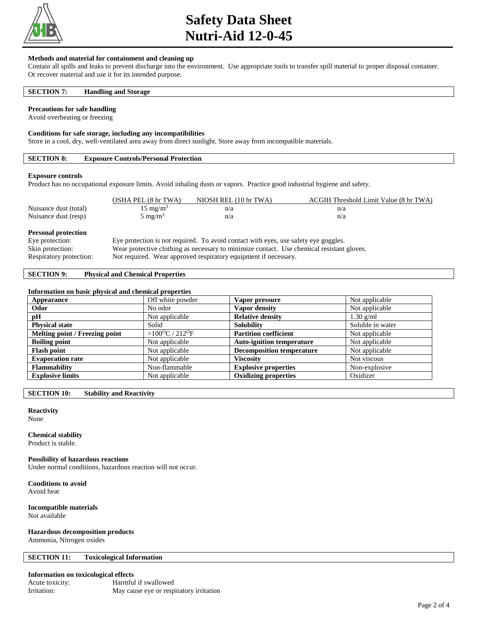

## **Safety Data Sheet Nutri-Aid 12-0-45**

## **Methods and material for containment and cleaning up**

Contain all spills and leaks to prevent discharge into the environment. Use appropriate tools to transfer spill material to proper disposal container. Or recover material and use it for its intended purpose.

## **SECTION 7: Handling and Storage**

### **Precautions for safe handling**

Avoid overheating or freezing

### **Conditions for safe storage, including any incompatibilities**

Store in a cool, dry, well-ventilated area away from direct sunlight. Store away from incompatible materials.

## **SECTION 8: Exposure Controls/Personal Protection**

### **Exposure controls**

Product has no occupational exposure limits. Avoid inhaling dusts or vapors. Practice good industrial hygiene and safety.

|                                               | OSHA PEL (8 hr TWA) | NIOSH REL (10 hr TWA)                                                               | ACGIH Threshold Limit Value (8 hr TWA) |
|-----------------------------------------------|---------------------|-------------------------------------------------------------------------------------|----------------------------------------|
| Nuisance dust (total)                         | $15 \text{ mg/m}^3$ | n/a                                                                                 | n/a                                    |
| Nuisance dust (resp)                          | $5 \text{ mg/m}^3$  | n/a                                                                                 | n/a                                    |
| <b>Personal protection</b><br>Eye protection: |                     | Eye protection is not required. To avoid contact with eyes, use safety eye goggles. |                                        |

#### Skin protection: Wear protective clothing as necessary to minimize contact. Use chemical resistant gloves.

Respiratory protection: Not required. Wear approved respiratory equipment if necessary.

## **SECTION 9: Physical and Chemical Properties**

## **Information on basic physical and chemical properties**

| Appearance                     | Off white powder                       | Vapor pressure                   | Not applicable   |
|--------------------------------|----------------------------------------|----------------------------------|------------------|
| Odor                           | No odor                                | Vapor density                    | Not applicable   |
| pH                             | Not applicable                         | <b>Relative density</b>          | $1.30$ g/ml      |
| <b>Physical state</b>          | Solid                                  | <b>Solubility</b>                | Soluble in water |
| Melting point / Freezing point | > $100^{\circ}$ C / 212 <sup>o</sup> F | <b>Partition coefficient</b>     | Not applicable   |
| <b>Boiling point</b>           | Not applicable                         | <b>Auto-ignition temperature</b> | Not applicable   |
| <b>Flash point</b>             | Not applicable                         | <b>Decomposition temperature</b> | Not applicable   |
| <b>Evaporation rate</b>        | Not applicable                         | <b>Viscosity</b>                 | Not viscous      |
| <b>Flammability</b>            | Non-flammable                          | <b>Explosive properties</b>      | Non-explosive    |
| <b>Explosive limits</b>        | Not applicable                         | <b>Oxidizing properties</b>      | Oxidizer         |

**SECTION 10: Stability and Reactivity** 

## **Reactivity**

None

### **Chemical stability**

Product is stable.

## **Possibility of hazardous reactions**

Under normal conditions, hazardous reaction will not occur.

**Conditions to avoid**

Avoid heat

### **Incompatible materials** Not available

**Hazardous decomposition products**

Ammonia, Nitrogen oxides

### **SECTION 11: Toxicological Information**

### **Information on toxicological effects**

| Acute toxicity: | Harmful if swallowed                    |
|-----------------|-----------------------------------------|
| Irritation:     | May cause eye or respiratory irritation |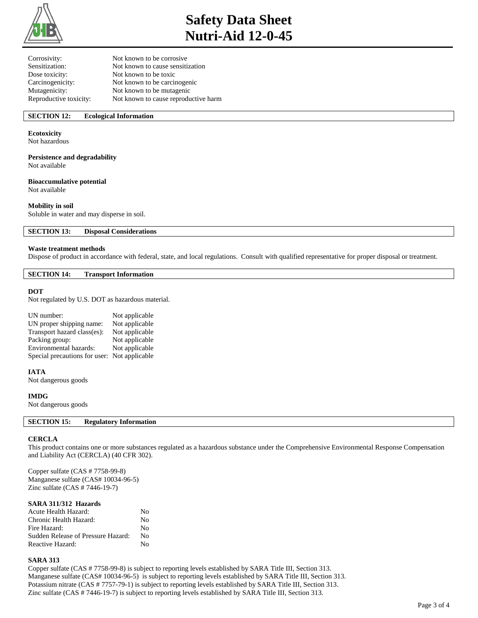

# **Safety Data Sheet Nutri-Aid 12-0-45**

| Corrosivity:           | Not known to be corrosive            |
|------------------------|--------------------------------------|
| Sensitization:         | Not known to cause sensitization     |
| Dose toxicity:         | Not known to be toxic                |
| Carcinogenicity:       | Not known to be carcinogenic         |
| Mutagenicity:          | Not known to be mutagenic            |
| Reproductive toxicity: | Not known to cause reproductive harm |

## **SECTION 12: Ecological Information**

## **Ecotoxicity**

Not hazardous

## **Persistence and degradability**

Not available

## **Bioaccumulative potential**

Not available

## **Mobility in soil**

Soluble in water and may disperse in soil.

**SECTION 13: Disposal Considerations** 

### **Waste treatment methods**

Dispose of product in accordance with federal, state, and local regulations. Consult with qualified representative for proper disposal or treatment.

### **SECTION 14: Transport Information**

### **DOT**

Not regulated by U.S. DOT as hazardous material.

| UN number:                                   | Not applicable |
|----------------------------------------------|----------------|
| UN proper shipping name:                     | Not applicable |
| Transport hazard class(es):                  | Not applicable |
| Packing group:                               | Not applicable |
| Environmental hazards:                       | Not applicable |
| Special precautions for user: Not applicable |                |

## **IATA**

Not dangerous goods

### **IMDG**

Not dangerous goods

## **SECTION 15: Regulatory Information**

### **CERCLA**

This product contains one or more substances regulated as a hazardous substance under the Comprehensive Environmental Response Compensation and Liability Act (CERCLA) (40 CFR 302).

Copper sulfate (CAS # 7758-99-8) Manganese sulfate (CAS# 10034-96-5) Zinc sulfate (CAS # 7446-19-7)

## **SARA 311/312 Hazards**

| Acute Health Hazard:               | Nο |
|------------------------------------|----|
| Chronic Health Hazard:             | No |
| Fire Hazard:                       | Nο |
| Sudden Release of Pressure Hazard: | Nο |
| Reactive Hazard:                   | Nο |

### **SARA 313**

Copper sulfate (CAS # 7758-99-8) is subject to reporting levels established by SARA Title III, Section 313. Manganese sulfate (CAS# 10034-96-5) is subject to reporting levels established by SARA Title III, Section 313. Potassium nitrate (CAS # 7757-79-1) is subject to reporting levels established by SARA Title III, Section 313. Zinc sulfate (CAS # 7446-19-7) is subject to reporting levels established by SARA Title III, Section 313.